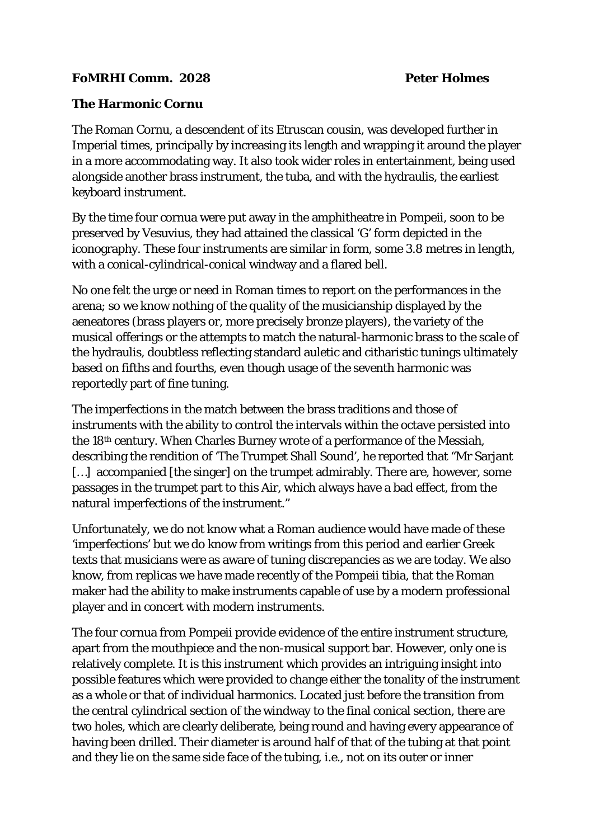## **FoMRHI Comm. 2028 Peter Holmes**

## **The Harmonic Cornu**

The Roman Cornu, a descendent of its Etruscan cousin, was developed further in Imperial times, principally by increasing its length and wrapping it around the player in a more accommodating way. It also took wider roles in entertainment, being used alongside another brass instrument, the tuba, and with the hydraulis, the earliest keyboard instrument.

By the time four cornua were put away in the amphitheatre in Pompeii, soon to be preserved by Vesuvius, they had attained the classical 'G' form depicted in the iconography. These four instruments are similar in form, some 3.8 metres in length, with a conical-cylindrical-conical windway and a flared bell.

No one felt the urge or need in Roman times to report on the performances in the arena; so we know nothing of the quality of the musicianship displayed by the aeneatores (brass players or, more precisely bronze players), the variety of the musical offerings or the attempts to match the natural-harmonic brass to the scale of the hydraulis, doubtless reflecting standard auletic and citharistic tunings ultimately based on fifths and fourths, even though usage of the seventh harmonic was reportedly part of fine tuning.

The imperfections in the match between the brass traditions and those of instruments with the ability to control the intervals within the octave persisted into the 18th century. When Charles Burney wrote of a performance of the Messiah, describing the rendition of 'The Trumpet Shall Sound', he reported that "Mr Sarjant [...] accompanied [the singer] on the trumpet admirably. There are, however, some passages in the trumpet part to this Air, which always have a bad effect, from the natural imperfections of the instrument."

Unfortunately, we do not know what a Roman audience would have made of these 'imperfections' but we do know from writings from this period and earlier Greek texts that musicians were as aware of tuning discrepancies as we are today. We also know, from replicas we have made recently of the Pompeii tibia, that the Roman maker had the ability to make instruments capable of use by a modern professional player and in concert with modern instruments.

The four cornua from Pompeii provide evidence of the entire instrument structure, apart from the mouthpiece and the non-musical support bar. However, only one is relatively complete. It is this instrument which provides an intriguing insight into possible features which were provided to change either the tonality of the instrument as a whole or that of individual harmonics. Located just before the transition from the central cylindrical section of the windway to the final conical section, there are two holes, which are clearly deliberate, being round and having every appearance of having been drilled. Their diameter is around half of that of the tubing at that point and they lie on the same side face of the tubing, i.e., not on its outer or inner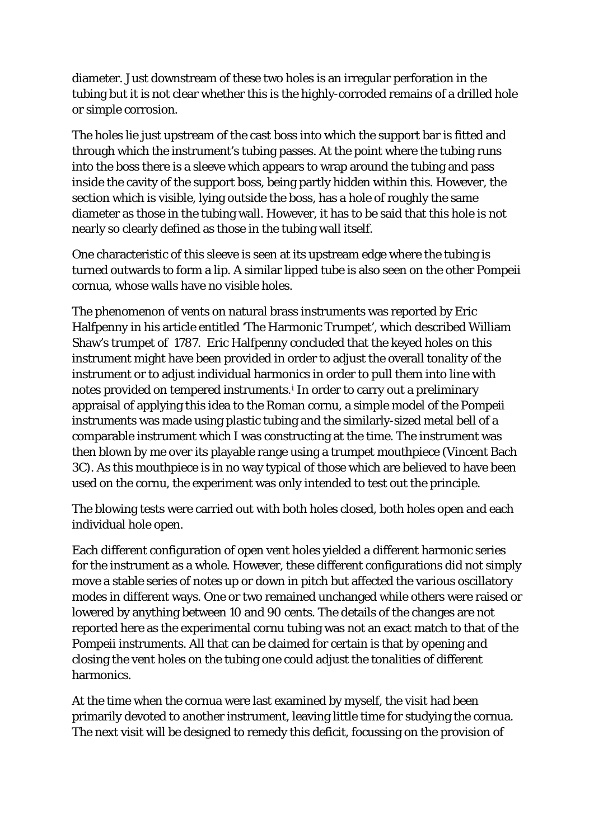diameter. Just downstream of these two holes is an irregular perforation in the tubing but it is not clear whether this is the highly-corroded remains of a drilled hole or simple corrosion.

The holes lie just upstream of the cast boss into which the support bar is fitted and through which the instrument's tubing passes. At the point where the tubing runs into the boss there is a sleeve which appears to wrap around the tubing and pass inside the cavity of the support boss, being partly hidden within this. However, the section which is visible, lying outside the boss, has a hole of roughly the same diameter as those in the tubing wall. However, it has to be said that this hole is not nearly so clearly defined as those in the tubing wall itself.

One characteristic of this sleeve is seen at its upstream edge where the tubing is turned outwards to form a lip. A similar lipped tube is also seen on the other Pompeii cornua, whose walls have no visible holes.

The phenomenon of vents on natural brass instruments was reported by Eric Halfpenny in his article entitled 'The Harmonic Trumpet', which described William Shaw's trumpet of 1787. Eric Halfpenny concluded that the keyed holes on this instrument might have been provided in order to adjust the overall tonality of the instrument or to adjust individual harmonics in order to pull them into line with notes prov[i](#page-2-0)ded on tempered instruments.<sup>i</sup> In order to carry out a preliminary appraisal of applying this idea to the Roman cornu, a simple model of the Pompeii instruments was made using plastic tubing and the similarly-sized metal bell of a comparable instrument which I was constructing at the time. The instrument was then blown by me over its playable range using a trumpet mouthpiece (Vincent Bach 3C). As this mouthpiece is in no way typical of those which are believed to have been used on the cornu, the experiment was only intended to test out the principle.

The blowing tests were carried out with both holes closed, both holes open and each individual hole open.

Each different configuration of open vent holes yielded a different harmonic series for the instrument as a whole. However, these different configurations did not simply move a stable series of notes up or down in pitch but affected the various oscillatory modes in different ways. One or two remained unchanged while others were raised or lowered by anything between 10 and 90 cents. The details of the changes are not reported here as the experimental cornu tubing was not an exact match to that of the Pompeii instruments. All that can be claimed for certain is that by opening and closing the vent holes on the tubing one could adjust the tonalities of different harmonics.

At the time when the cornua were last examined by myself, the visit had been primarily devoted to another instrument, leaving little time for studying the cornua. The next visit will be designed to remedy this deficit, focussing on the provision of